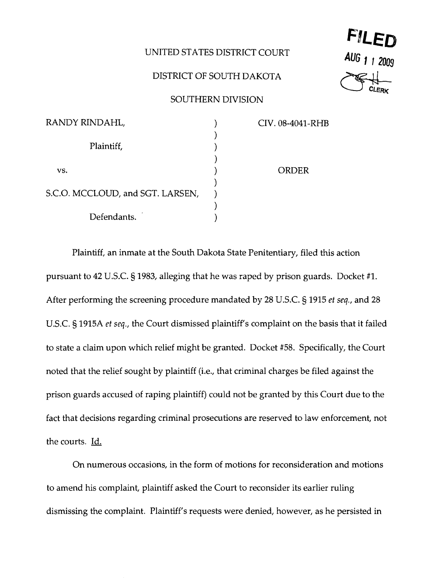## UNITED STATES DISTRICT COURT

## SOUTHERN DIVISION DISTRICT OF SOUTH DAKOTA

| RANDY RINDAHL,                   | CIV. 08-4041-RHB |
|----------------------------------|------------------|
|                                  |                  |
| Plaintiff,                       |                  |
|                                  |                  |
| VS.                              | ORDER            |
|                                  |                  |
| S.C.O. MCCLOUD, and SGT. LARSEN, |                  |
|                                  |                  |
| Defendants.                      |                  |

Plaintiff, an inmate at the South Dakota State Penitentiary, filed this action pursuant to 42 U.s.c. § 1983, alleging that he was raped by prison guards. Docket #1. After performing the screening procedure mandated by 28 U.s.c. § 1915 *et seq.,* and 28 U.S.c. § 1915A *et seq.,* the Court dismissed plaintiff's complaint on the basis that it failed to state a claim upon which relief might be granted. Docket #58. Specifically, the Court noted that the relief sought by plaintiff (i.e., that criminal charges be filed against the prison guards accused of raping plaintiff) could not be granted by this Court due to the fact that decisions regarding criminal prosecutions are reserved to law enforcement, not the courts. Id.

On numerous occasions, in the form of motions for reconsideration and motions to amend his complaint, plaintiff asked the Court to reconsider its earlier ruling dismissing the complaint. Plaintiff's requests were denied, however, as he persisted in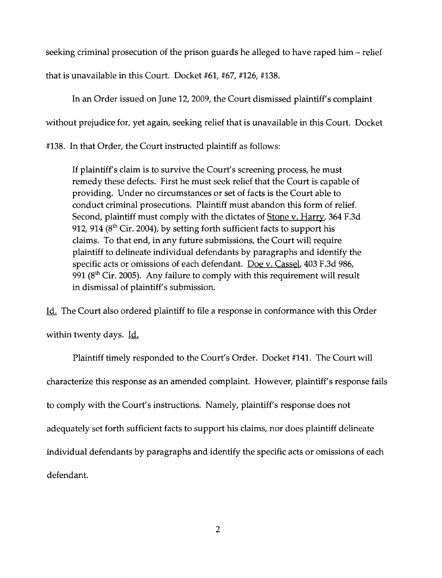seeking criminal prosecution of the prison guards he alleged to have raped him - relief

that is unavailable in this Court. Docket #61, #67, #126, #138.

In an Order issued on June 12, 2009, the Court dismissed plaintiff's complaint

without prejudice for, yet again, seeking relief that is unavailable in this Court. Docket

#138. In that Order, the Court instructed plaintiff as follows:

If plaintiff's claim is to survive the Court's screening process, he must remedy these defects. First he must seek relief that the Court is capable of providing. Under no circumstances or set of facts is the Court able to conduct criminal prosecutions. Plaintiff must abandon this form of relief. Second, plaintiff must comply with the dictates of Stone v. Harry, 364 F.3d 912, 914 ( $8<sup>th</sup>$  Cir. 2004), by setting forth sufficient facts to support his claims. To that end, in any future submissions, the Court will require plaintiff to delineate individual defendants by paragraphs and identify the specific acts or omissions of each defendant. Doe v. Cassel, 403 F.3d 986, 991 ( $8<sup>th</sup>$  Cir. 2005). Any failure to comply with this requirement will result in dismissal of plaintiff's submission.

Id. The Court also ordered plaintiff to file a response in conformance with this Order

within twenty days. Id.

Plaintiff timely responded to the Court's Order. Docket #141. The Court will characterize this response as an amended complaint. However, plaintiff's response fails to comply with the Court's instructions. Namely, plaintiff's response does not adequately set forth sufficient facts to support his claims, nor does plaintiff delineate individual defendants by paragraphs and identify the specific acts or omissions of each defendant.